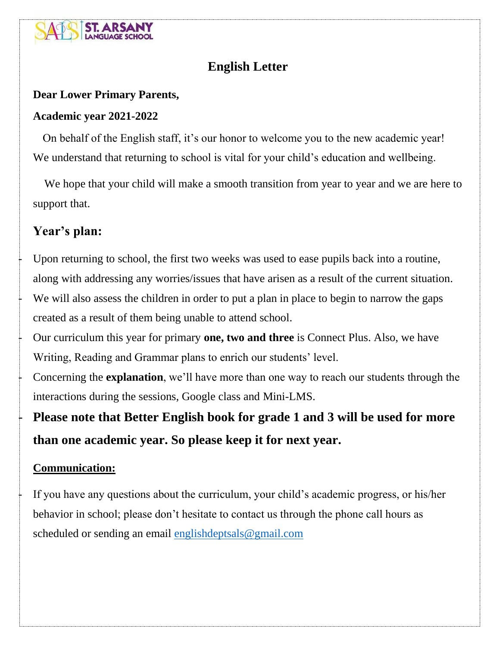

# **English Letter**

#### **Dear Lower Primary Parents,**

#### **Academic year 2021-2022**

 On behalf of the English staff, it's our honor to welcome you to the new academic year! We understand that returning to school is vital for your child's education and wellbeing.

 We hope that your child will make a smooth transition from year to year and we are here to support that.

# **Year's plan:**

Upon returning to school, the first two weeks was used to ease pupils back into a routine, along with addressing any worries/issues that have arisen as a result of the current situation. We will also assess the children in order to put a plan in place to begin to narrow the gaps created as a result of them being unable to attend school.

- Our curriculum this year for primary **one, two and three** is Connect Plus. Also, we have Writing, Reading and Grammar plans to enrich our students' level.

- Concerning the **explanation**, we'll have more than one way to reach our students through the interactions during the sessions, Google class and Mini-LMS.

- **Please note that Better English book for grade 1 and 3 will be used for more than one academic year. So please keep it for next year.**

### **Communication:**

If you have any questions about the curriculum, your child's academic progress, or his/her behavior in school; please don't hesitate to contact us through the phone call hours as scheduled or sending an email [englishdeptsals@gmail.com](mailto:englishdeptsals@gmail.com)